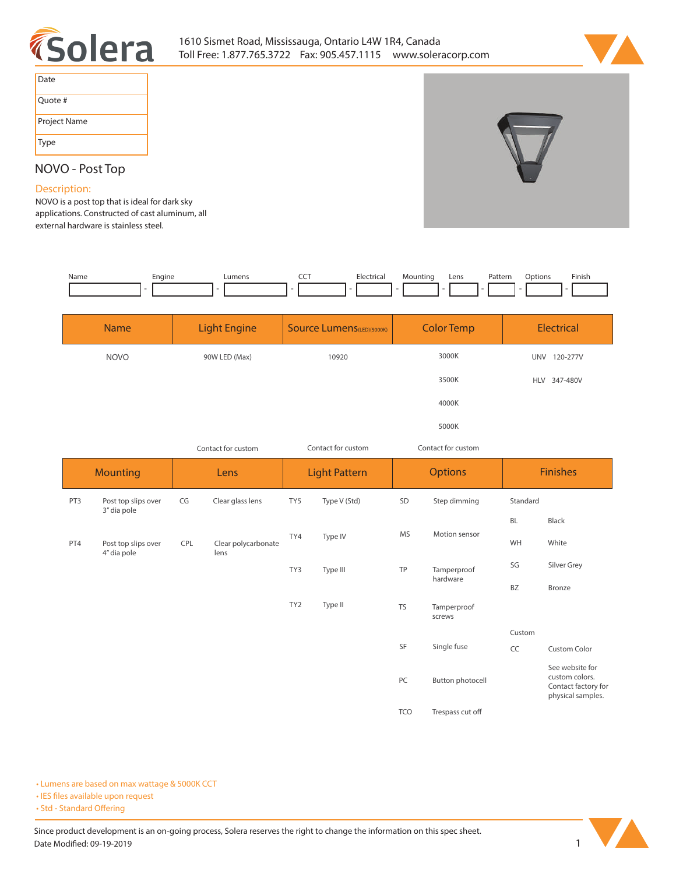



| Date         |  |
|--------------|--|
| Quote #      |  |
| Project Name |  |
| Type         |  |

## **NOVO - Post Top**

## **Description:**

**NOVO is a post top that is ideal for dark sky applications. Constructed of cast aluminum, all external hardware is stainless steel.** 

| Name | Engine | umens | ---<br>$ -$ | $\sim$ $\sim$<br>$\cdots$ | Mountin <sub>e</sub> | Lens | <sup>9</sup> attern<br>. | tior. | Finish |
|------|--------|-------|-------------|---------------------------|----------------------|------|--------------------------|-------|--------|
|      |        |       |             |                           |                      |      |                          |       |        |

| <b>Name</b> | <b>Light Engine</b> | Source Lumens(LED)(5000K) | <b>Color Temp</b> | Electrical             |
|-------------|---------------------|---------------------------|-------------------|------------------------|
| <b>NOVO</b> | 90W LED (Max)       | 10920                     | 3000K             | 120-277V<br><b>UNV</b> |
|             |                     |                           | 3500K             | HLV 347-480V           |
|             |                     |                           | 4000K             |                        |
|             |                     |                           | 5000K             |                        |

| Contact for custom |                                    | Contact for custom                                                                                        |                  | Contact for custom   |              |                |                       |                 |                                                                               |
|--------------------|------------------------------------|-----------------------------------------------------------------------------------------------------------|------------------|----------------------|--------------|----------------|-----------------------|-----------------|-------------------------------------------------------------------------------|
| <b>Mounting</b>    |                                    | Lens                                                                                                      |                  | <b>Light Pattern</b> |              | <b>Options</b> |                       | <b>Finishes</b> |                                                                               |
| PT3                | Post top slips over<br>3" dia pole | CG                                                                                                        | Clear glass lens | TY5                  | Type V (Std) | SD             | Step dimming          | Standard        |                                                                               |
|                    |                                    |                                                                                                           |                  |                      |              |                | <b>BL</b>             | Black           |                                                                               |
| PT4                | Post top slips over                | <b>MS</b><br>TY4<br>Type IV<br>CPL<br>Clear polycarbonate<br>lens<br>4" dia pole<br>TP<br>TY3<br>Type III |                  |                      |              |                | Motion sensor         | WH              | White                                                                         |
|                    |                                    |                                                                                                           | Tamperproof      | SG                   | Silver Grey  |                |                       |                 |                                                                               |
|                    |                                    |                                                                                                           |                  |                      |              |                | hardware              | BZ              | Bronze                                                                        |
|                    |                                    |                                                                                                           |                  | TY <sub>2</sub>      | Type II      | <b>TS</b>      | Tamperproof<br>screws |                 |                                                                               |
|                    |                                    |                                                                                                           |                  |                      |              |                |                       | Custom          |                                                                               |
|                    |                                    |                                                                                                           |                  |                      |              | SF             | Single fuse           | CC              | Custom Color                                                                  |
|                    |                                    |                                                                                                           |                  |                      |              | PC             | Button photocell      |                 | See website for<br>custom colors.<br>Contact factory for<br>physical samples. |
|                    |                                    |                                                                                                           |                  |                      |              | <b>TCO</b>     | Trespass cut off      |                 |                                                                               |

**• Lumens are based on max wattage & 5000K CCT**

**• IES files available upon request** 

• Std - Standard Offering

Since product development is an on-going process, Solera reserves the right to change the information on this spec sheet. **Date Modified: 09-19-2019** 1